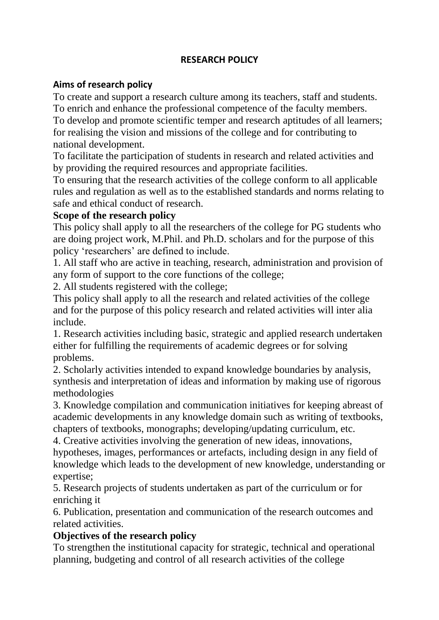# **RESEARCH POLICY**

## **Aims of research policy**

To create and support a research culture among its teachers, staff and students. To enrich and enhance the professional competence of the faculty members. To develop and promote scientific temper and research aptitudes of all learners; for realising the vision and missions of the college and for contributing to national development.

To facilitate the participation of students in research and related activities and by providing the required resources and appropriate facilities.

To ensuring that the research activities of the college conform to all applicable rules and regulation as well as to the established standards and norms relating to safe and ethical conduct of research.

## **Scope of the research policy**

This policy shall apply to all the researchers of the college for PG students who are doing project work, M.Phil. and Ph.D. scholars and for the purpose of this policy 'researchers' are defined to include.

1. All staff who are active in teaching, research, administration and provision of any form of support to the core functions of the college;

2. All students registered with the college;

This policy shall apply to all the research and related activities of the college and for the purpose of this policy research and related activities will inter alia include.

1. Research activities including basic, strategic and applied research undertaken either for fulfilling the requirements of academic degrees or for solving problems.

2. Scholarly activities intended to expand knowledge boundaries by analysis, synthesis and interpretation of ideas and information by making use of rigorous methodologies

3. Knowledge compilation and communication initiatives for keeping abreast of academic developments in any knowledge domain such as writing of textbooks, chapters of textbooks, monographs; developing/updating curriculum, etc.

4. Creative activities involving the generation of new ideas, innovations, hypotheses, images, performances or artefacts, including design in any field of knowledge which leads to the development of new knowledge, understanding or expertise;

5. Research projects of students undertaken as part of the curriculum or for enriching it

6. Publication, presentation and communication of the research outcomes and related activities.

# **Objectives of the research policy**

To strengthen the institutional capacity for strategic, technical and operational planning, budgeting and control of all research activities of the college